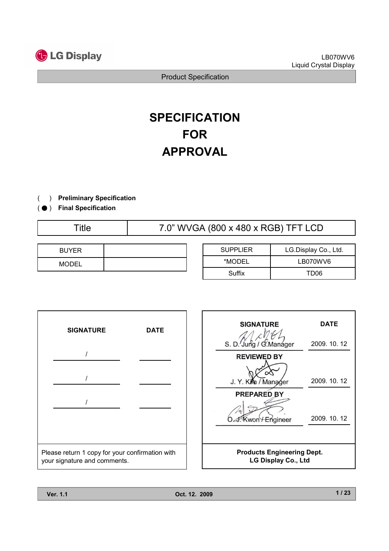

# **SPECIFICATION** FOR APPROVAL

- ) Preliminary Specification (
- ( ) Final Specification

Title 7.0" WVGA (800 x 480 x RGB) TFT LCD

| <b>BUYER</b> |  |
|--------------|--|
| <b>MODEL</b> |  |

| <b>SUPPLIER</b> | LG.Display Co., Ltd. |
|-----------------|----------------------|
| *MODEL          | LB070WV6             |
| Suffix          | TD06                 |

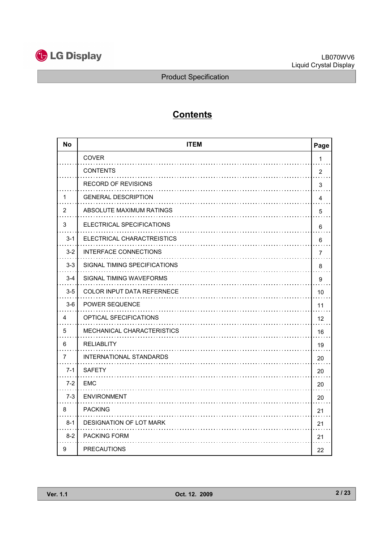

## **Contents**

| <b>No</b> | <b>ITEM</b>                       | Page           |
|-----------|-----------------------------------|----------------|
|           | <b>COVER</b>                      | 1              |
|           | <b>CONTENTS</b>                   | $\overline{2}$ |
|           | <b>RECORD OF REVISIONS</b>        | 3              |
| 1         | <b>GENERAL DESCRIPTION</b>        | 4              |
| 2         | ABSOLUTE MAXIMUM RATINGS          | 5              |
| 3         | ELECTRICAL SPECIFICATIONS         | 6              |
| $3 - 1$   | ELECTRICAL CHARACTREISTICS        | 6              |
| $3-2$     | INTERFACE CONNECTIONS             | 7              |
| $3 - 3$   | SIGNAL TIMING SPECIFICATIONS      | 8              |
| $3 - 4$   | SIGNAL TIMING WAVEFORMS           | 9              |
| $3-5$     | <b>COLOR INPUT DATA REFERNECE</b> | 10             |
| $3-6$     | <b>POWER SEQUENCE</b>             | 11             |
| 4         | OPTICAL SFECIFICATIONS            | 12             |
| 5         | <b>MECHANICAL CHARACTERISTICS</b> | 16             |
| 6         | <b>RELIABLITY</b>                 | 19             |
| 7         | INTERNATIONAL STANDARDS           | 20             |
| $7 - 1$   | <b>SAFETY</b>                     | 20             |
| $7-2$     | <b>EMC</b>                        | 20             |
| $7 - 3$   | <b>ENVIRONMENT</b>                | 20             |
| 8         | <b>PACKING</b>                    | 21             |
| $8 - 1$   | DESIGNATION OF LOT MARK           | 21             |
| $8-2$     | <b>PACKING FORM</b>               | 21             |
| 9         | <b>PRECAUTIONS</b>                | 22             |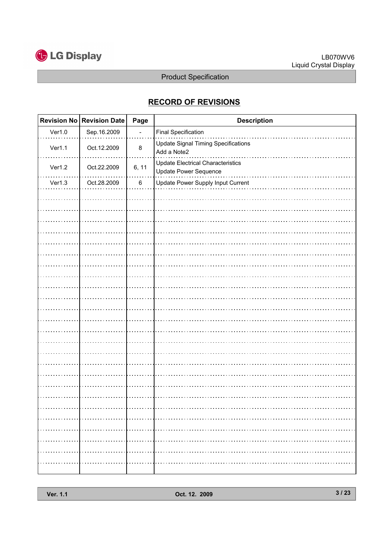

## RECORD OF REVISIONS

|        | Revision No Revision Date | Page            | <b>Description</b>                                                       |
|--------|---------------------------|-----------------|--------------------------------------------------------------------------|
| Ver1.0 | Sep.16.2009               |                 | <b>Final Specification</b>                                               |
| Ver1.1 | Oct.12.2009               | $\bf 8$         | <b>Update Signal Timing Specifications</b><br>Add a Note2                |
| Ver1.2 | Oct.22.2009               | 6, 11           | <b>Update Electrical Characteristics</b><br><b>Update Power Sequence</b> |
| Ver1.3 | Oct.28.2009               | $6\phantom{.}6$ | Update Power Supply Input Current                                        |
|        |                           |                 |                                                                          |
|        |                           |                 |                                                                          |
|        |                           |                 |                                                                          |
|        |                           |                 |                                                                          |
|        |                           |                 |                                                                          |
|        |                           |                 |                                                                          |
|        |                           |                 |                                                                          |
|        |                           |                 |                                                                          |
|        |                           |                 |                                                                          |
|        |                           |                 |                                                                          |
|        |                           |                 |                                                                          |
|        |                           |                 |                                                                          |
|        |                           |                 |                                                                          |
|        |                           |                 |                                                                          |
|        |                           |                 |                                                                          |
|        |                           |                 |                                                                          |
|        |                           |                 |                                                                          |
|        |                           |                 |                                                                          |
|        |                           |                 |                                                                          |
|        |                           |                 |                                                                          |
|        |                           |                 |                                                                          |
|        |                           | .               | .                                                                        |
|        |                           |                 |                                                                          |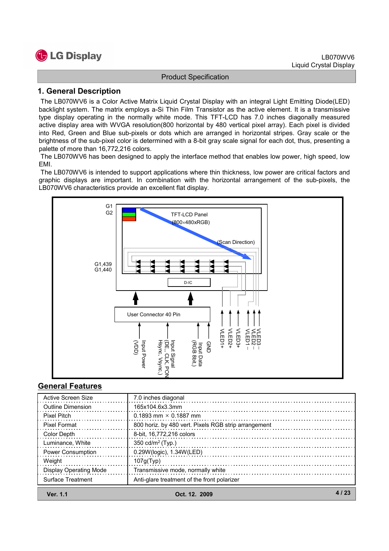

#### 1. General Description

The LB070WV6 is a Color Active Matrix Liquid Crystal Display with an integral Light Emitting Diode(LED) backlight system. The matrix employs a-Si Thin Film Transistor as the active element. It is a transmissive type display operating in the normally white mode. This TFT-LCD has 7.0 inches diagonally measured active display area with WVGA resolution(800 horizontal by 480 vertical pixel array). Each pixel is divided into Red, Green and Blue sub-pixels or dots which are arranged in horizontal stripes. Gray scale or the brightness of the sub-pixel color is determined with a 8-bit gray scale signal for each dot, thus, presenting a palette of more than 16,772,216 colors.

The LB070WV6 has been designed to apply the interface method that enables low power, high speed, low EMI.

The LB070WV6 is intended to support applications where thin thickness, low power are critical factors and graphic displays are important. In combination with the horizontal arrangement of the sub-pixels, the LB070WV6 characteristics provide an excellent flat display.



## General Features

| <b>Ver. 1.1</b>               | Oct. 12. 2009                                        |  |
|-------------------------------|------------------------------------------------------|--|
| Surface Treatment             | Anti-glare treatment of the front polarizer          |  |
| <b>Display Operating Mode</b> | Transmissive mode, normally white                    |  |
| Weight                        | 107q(Tvp)                                            |  |
| <b>Power Consumption</b>      | $0.29W$ (logic), 1.34W(LED)                          |  |
| Luminance, White              | 350 cd/m <sup>2</sup> (Typ.)                         |  |
| Color Depth                   | 8-bit, 16,772,216 colors                             |  |
| Pixel Format                  | 800 horiz. by 480 vert. Pixels RGB strip arrangement |  |
| Pixel Pitch                   | 0.1893 mm $\times$ 0.1887 mm                         |  |
| <b>Outline Dimension</b>      | 165x104.6x3.3mm                                      |  |
| Active Screen Size            | 7.0 inches diagonal                                  |  |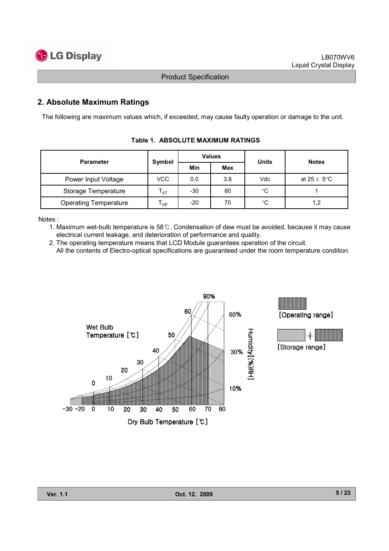

## 2. Absolute Maximum Ratings

The following are maximum values which, if exceeded, may cause faulty operation or damage to the unit.

| <b>Parameter</b>             | Symbol                                 |       | <b>Values</b> | <b>Units</b> | <b>Notes</b>            |  |
|------------------------------|----------------------------------------|-------|---------------|--------------|-------------------------|--|
|                              |                                        | Min   | Max           |              |                         |  |
| Power Input Voltage          | <b>VCC</b>                             | 0.0   | 3.6           | Vdc          | at $25 \pm 5^{\circ}$ C |  |
| Storage Temperature          | $\mathsf{r}_{\mathsf{s}\mathsf{\tau}}$ | $-30$ | 80            | $^{\circ}C$  |                         |  |
| <b>Operating Temperature</b> | $\mathsf{T}_{\mathsf{OP}}$             | $-20$ | 70            | $^{\circ}C$  | 1,2                     |  |

Table 1. ABSOLUTE MAXIMUM RATINGS

Notes :

- 1. Maximum wet-bulb temperature is 58 $\degree$ C. Condensation of dew must be avoided, because it may cause electrical current leakage, and deterioration of performance and quality.
- 2. The operating temperature means that LCD Module guarantees operation of the circuit.

All the contents of Electro-optical specifications are guaranteed under the room temperature condition.

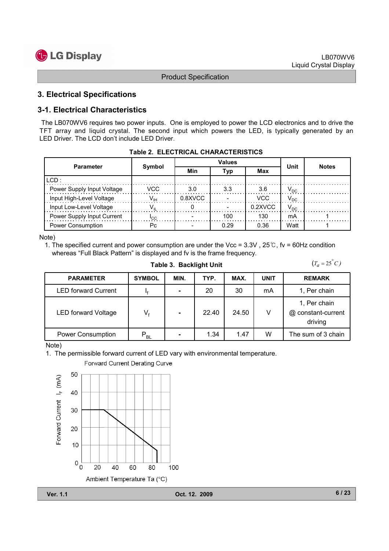

 $(T_a = 25^\circ C)$ 

Product Specification

#### 3. Electrical Specifications

### 3-1. Electrical Characteristics

The LB070WV6 requires two power inputs. One is employed to power the LCD electronics and to drive the TFT array and liquid crystal. The second input which powers the LED, is typically generated by an LED Driver. The LCD don't include LED Driver.

| <b>Parameter</b>           | Symbol       |            | <b>Values</b> | Unit       | <b>Notes</b>             |  |
|----------------------------|--------------|------------|---------------|------------|--------------------------|--|
|                            |              | Min        | Typ           | Max        |                          |  |
| ICD:                       |              |            |               |            |                          |  |
| Power Supply Input Voltage | <b>VCC</b>   | 3.0        | 3.3           | 3.6        | $\mathsf{V}_\mathsf{DC}$ |  |
| Input High-Level Voltage   | $V_{\rm HI}$ | $0.8$ XVCC |               | <b>VCC</b> | $\mathsf{V}_\mathsf{DC}$ |  |
| Input Low-Level Voltage    |              |            |               | 0.2XVCC    | $\mathsf{V}_\mathsf{DC}$ |  |
| Power Supply Input Current | ιςς          |            | 100           | 130        | mA                       |  |
| <b>Power Consumption</b>   | Pc.          |            | በ 29          | 0.36       | Watt                     |  |

|  | <b>Table 2. ELECTRICAL CHARACTERISTICS</b> |  |
|--|--------------------------------------------|--|
|  |                                            |  |

Note)

1. The specified current and power consumption are under the Vcc =  $3.3V$ ,  $25^\circ$ C, fv = 60Hz condition whereas "Full Black Pattern" is displayed and fv is the frame frequency.

Table 3. Backlight Unit

| <b>PARAMETER</b>           | <b>SYMBOL</b>              | MIN. | TYP.  | MAX.  | <b>UNIT</b> | <b>REMARK</b>                                 |
|----------------------------|----------------------------|------|-------|-------|-------------|-----------------------------------------------|
| <b>LED forward Current</b> |                            |      | 20    | 30    | mA          | 1, Per chain                                  |
| <b>LED forward Voltage</b> | $V_{f}$                    |      | 22.40 | 24.50 | V           | 1, Per chain<br>@ constant-current<br>driving |
| Power Consumption          | $\mathsf{P}_{\mathsf{BL}}$ |      | 1.34  | 1.47  | W           | The sum of 3 chain                            |

Note)

1. The permissible forward current of LED vary with environmental temperature.

Forward Current Derating Curve

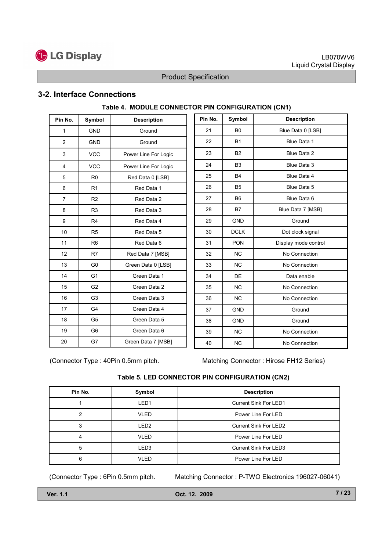

#### 3-2. Interface Connections

| Pin No.        | Symbol         | <b>Description</b>   |
|----------------|----------------|----------------------|
| 1              | <b>GND</b>     | Ground               |
| $\overline{2}$ | <b>GND</b>     | Ground               |
| 3              | <b>VCC</b>     | Power Line For Logic |
| 4              | <b>VCC</b>     | Power Line For Logic |
| 5              | R <sub>0</sub> | Red Data 0 [LSB]     |
| 6              | R <sub>1</sub> | Red Data 1           |
| 7              | R <sub>2</sub> | Red Data 2           |
| 8              | R <sub>3</sub> | Red Data 3           |
| 9              | R <sub>4</sub> | Red Data 4           |
| 10             | R <sub>5</sub> | Red Data 5           |
| 11             | R <sub>6</sub> | Red Data 6           |
| 12             | R7             | Red Data 7 [MSB]     |
| 13             | G <sub>0</sub> | Green Data 0 [LSB]   |
| 14             | G <sub>1</sub> | Green Data 1         |
| 15             | G <sub>2</sub> | Green Data 2         |
| 16             | G <sub>3</sub> | Green Data 3         |
| 17             | G <sub>4</sub> | Green Data 4         |
| 18             | G <sub>5</sub> | Green Data 5         |
| 19             | G <sub>6</sub> | Green Data 6         |
| 20             | G7             | Green Data 7 [MSB]   |

## Table 4. MODULE CONNECTOR PIN CONFIGURATION (CN1)

| Pin No. | Symbol         | <b>Description</b>   |
|---------|----------------|----------------------|
| 21      | B <sub>0</sub> | Blue Data 0 [LSB]    |
| 22      | <b>B1</b>      | Blue Data 1          |
| 23      | B <sub>2</sub> | Blue Data 2          |
| 24      | B <sub>3</sub> | Blue Data 3          |
| 25      | <b>B4</b>      | Blue Data 4          |
| 26      | B <sub>5</sub> | Blue Data 5          |
| 27      | B <sub>6</sub> | Blue Data 6          |
| 28      | <b>B7</b>      | Blue Data 7 [MSB]    |
| 29      | <b>GND</b>     | Ground               |
| 30      | <b>DCLK</b>    | Dot clock signal     |
| 31      | <b>PON</b>     | Display mode control |
| 32      | <b>NC</b>      | No Connection        |
| 33      | <b>NC</b>      | No Connection        |
| 34      | DE             | Data enable          |
| 35      | <b>NC</b>      | No Connection        |
| 36      | <b>NC</b>      | No Connection        |
| 37      | <b>GND</b>     | Ground               |
| 38      | <b>GND</b>     | Ground               |
| 39      | <b>NC</b>      | No Connection        |
| 40      | <b>NC</b>      | No Connection        |

(Connector Type : 40Pin 0.5mm pitch. Matching Connector : Hirose FH12 Series)

#### Table 5. LED CONNECTOR PIN CONFIGURATION (CN2)

| Pin No. | Symbol           | <b>Description</b>           |
|---------|------------------|------------------------------|
|         | LED <sub>1</sub> | <b>Current Sink For LED1</b> |
|         | <b>VLED</b>      | Power Line For LED           |
| 3       | LED <sub>2</sub> | <b>Current Sink For LED2</b> |
|         | <b>VLED</b>      | Power Line For LED           |
| 5       | LED <sub>3</sub> | <b>Current Sink For LED3</b> |
| 6       | <b>VLED</b>      | Power Line For LED           |

(Connector Type : 6Pin 0.5mm pitch. Matching Connector : P-TWO Electronics 196027-06041)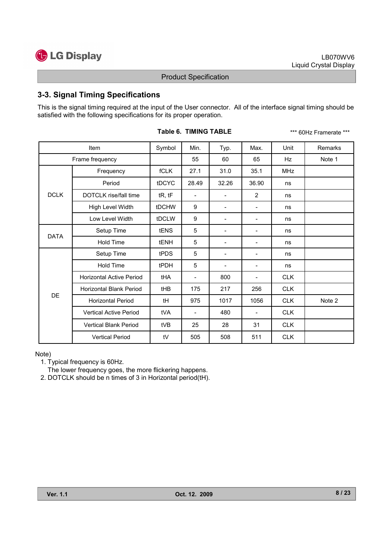

## 3-3. Signal Timing Specifications

This is the signal timing required at the input of the User connector. All of the interface signal timing should be satisfied with the following specifications for its proper operation.

|             | Item                            | Symbol      | Min.                     | Typ.                         | Max.                     | Unit       | Remarks |
|-------------|---------------------------------|-------------|--------------------------|------------------------------|--------------------------|------------|---------|
|             | Frame frequency                 |             | 55                       | 60                           | 65                       | Hz         | Note 1  |
|             | Frequency                       | <b>fCLK</b> | 27.1                     | 31.0                         | 35.1                     | <b>MHz</b> |         |
| <b>DCLK</b> | Period                          | tDCYC       | 28.49                    | 32.26                        | 36.90                    | ns         |         |
|             | DOTCLK rise/fall time           | tR, tF      | $\overline{\phantom{a}}$ | $\qquad \qquad \blacksquare$ | $\overline{2}$           | ns         |         |
|             | High Level Width                | tDCHW       | 9                        | -                            |                          | ns         |         |
|             | Low Level Width                 | tDCLW       | 9                        | -                            |                          | ns         |         |
| <b>DATA</b> | Setup Time                      | tENS        | 5                        | -                            | $\overline{\phantom{a}}$ | ns         |         |
|             | <b>Hold Time</b>                | <b>tENH</b> | 5                        | -                            | $\overline{\phantom{a}}$ | ns         |         |
|             | Setup Time                      | tPDS        | 5                        | -                            | $\overline{\phantom{a}}$ | ns         |         |
|             | Hold Time                       | <b>tPDH</b> | 5                        | Ξ.                           | $\blacksquare$           | ns         |         |
|             | <b>Horizontal Active Period</b> | tHA         | $\overline{\phantom{a}}$ | 800                          | $\overline{\phantom{a}}$ | <b>CLK</b> |         |
|             | <b>Horizontal Blank Period</b>  | <b>tHB</b>  | 175                      | 217                          | 256                      | <b>CLK</b> |         |
| DE          | <b>Horizontal Period</b>        | tH          | 975                      | 1017                         | 1056                     | <b>CLK</b> | Note 2  |
|             | <b>Vertical Active Period</b>   | tVA         | $\blacksquare$           | 480                          |                          | <b>CLK</b> |         |
|             | <b>Vertical Blank Period</b>    | tVB         | 25                       | 28                           | 31                       | <b>CLK</b> |         |
|             | <b>Vertical Period</b>          | tV          | 505                      | 508                          | 511                      | <b>CLK</b> |         |

#### Table 6. TIMING TABLE

\*\*\* 60Hz Framerate \*\*\*

Note)

1. Typical frequency is 60Hz.

The lower frequency goes, the more flickering happens.

2. DOTCLK should be n times of 3 in Horizontal period(tH).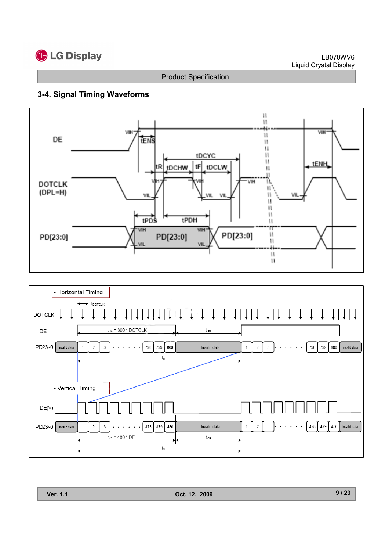

#### LB070WV6 Liquid Crystal Display

Product Specification

## 3-4. Signal Timing Waveforms



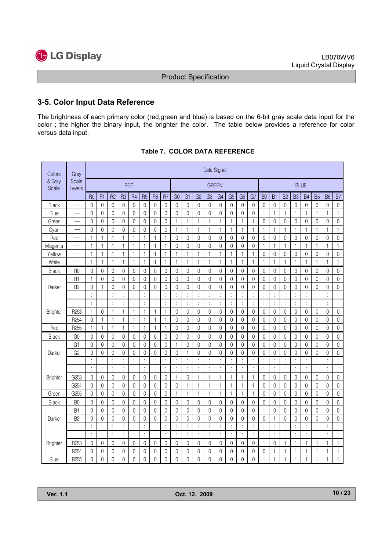

è

Product Specification

## 3-5. Color Input Data Reference

The brightness of each primary color (red,green and blue) is based on the 6-bit gray scale data input for the color ; the higher the binary input, the brighter the color. The table below provides a reference for color versus data input.

| Colors          | Gray              |                |                     |                |                |                  |                  |                      |                |                      |                     |                     | Data Signal      |                  |                |                |                  |                      |                  |                |                |                |                  |              |                     |
|-----------------|-------------------|----------------|---------------------|----------------|----------------|------------------|------------------|----------------------|----------------|----------------------|---------------------|---------------------|------------------|------------------|----------------|----------------|------------------|----------------------|------------------|----------------|----------------|----------------|------------------|--------------|---------------------|
| & Gray<br>Scale | Scale<br>Levels   |                |                     |                |                | <b>RED</b>       |                  |                      |                |                      |                     |                     | <b>GREEN</b>     |                  |                |                |                  |                      |                  |                |                | <b>BLUE</b>    |                  |              |                     |
|                 |                   | <b>R0</b>      | R <sub>1</sub>      | R <sub>2</sub> | R <sub>3</sub> | R <sub>4</sub>   | R <sub>5</sub>   | R <sub>6</sub>       | R <sub>7</sub> | G <sub>0</sub>       | G <sub>1</sub>      | G <sub>2</sub>      | G <sub>3</sub>   | G <sub>4</sub>   | G <sub>5</sub> | G <sub>6</sub> | G7               | B <sub>0</sub>       | B <sub>1</sub>   | B <sub>2</sub> | B <sub>3</sub> | B <sub>4</sub> | <b>B5</b>        | <b>B6</b>    | B <sub>7</sub>      |
| Black           |                   | $\mathbf{0}$   | $\mathsf{O}\xspace$ | 0              | $\mathbf{0}$   | $\boldsymbol{0}$ | $\pmb{0}$        | $\mathbf 0$          | 0              | $\mathbf 0$          | $\mathsf{O}\xspace$ | 0                   | $\boldsymbol{0}$ | $\mathbf 0$      | 0              | $\mathbf 0$    | $\boldsymbol{0}$ | 0                    | $\boldsymbol{0}$ | 0              | $\mathbf 0$    | $\mathbf{0}$   | $\mathbf 0$      | $\mathbf 0$  | $\mathbf 0$         |
| Blue            |                   | 0              | $\mathbf{0}$        | $\mathbf{0}$   | $\mathbf{0}$   | $\mathbf{0}$     | $\mathbf{0}$     | $\mathbf{0}$         | 0              | $\mathbf{0}$         | $\mathbf{0}$        | $\mathbf{0}$        | $\mathbf{0}$     | $\mathbf{0}$     | $\overline{0}$ | $\mathbf{0}$   | $\mathbf{0}$     | $\mathbf{1}$         | $\mathbf{1}$     | $\mathbf{1}$   | $\mathbf{1}$   | $\mathbf{1}$   | $\mathbf{1}$     | 1            | $\mathbf{1}$        |
| Green           |                   | $\mathbf{0}$   | $\mathbf{0}$        | 0              | 0              | $\mathbf{0}$     | $\mathbf{0}$     | $\mathbf{0}$         | 0              | 1                    | $\mathbf{1}$        | 1                   | 1                | $\mathbf{1}$     | $\mathbf{1}$   | 1              | 1                | 0                    | $\theta$         | 0              | 0              | 0              | 0                | 0            | $\mathbf 0$         |
| Cyan            |                   | 0              | $\boldsymbol{0}$    | 0              | $\mathbf{0}$   | $\mathbf{0}$     | $\mathbf{0}$     | $\mathbf{0}$         | 0              | $\mathbf{1}$         | $\mathbf{1}$        | 1                   | 1                | $\mathbf{1}$     | $\mathbf{1}$   | 1              | $\mathbf{1}$     | $\mathbf{1}$         | $\mathbf{1}$     | $\mathbf{1}$   | $\mathbf{1}$   | 1              | $\mathbf{1}$     | 1            | $\mathbf{1}$        |
| Red             |                   | 1              | $\mathbf{1}$        | 1              | 1              | 1                | 1                | $\mathbf{1}$         | 1              | $\mathbf{0}$         | 0                   | 0                   | 0                | 0                | 0              | 0              | $\mathbf{0}$     | $\mathbf{0}$         | $\theta$         | 0              | 0              | $\mathbf{0}$   | 0                | $\mathbf{0}$ | $\mathbf 0$         |
| Magenta         |                   | 1              | 1                   | 1              | 1              | 1                | 1                | $\mathbf{1}$         | 1              | 0                    | $\mathbf{0}$        | 0                   | 0                | $\mathbf 0$      | 0              | 0              | 0                | 1                    | 1                | 1              | 1              | 1              | 1                | 1            | $\mathbf{1}$        |
| Yellow          | $\qquad \qquad -$ | $\mathbf{1}$   | $\mathbf{1}$        | 1              | 1              | $\mathbf{1}$     | 1                | $\mathbf{1}$         | 1              | $\mathbf{1}$         | 1                   | 1                   | 1                | $\mathbf{1}$     | $\mathbf{1}$   | 1              | 1                | 0                    | $\boldsymbol{0}$ | $\mathsf{0}$   | 0              | $\mathbf{0}$   | $\boldsymbol{0}$ | 0            | $\boldsymbol{0}$    |
| White           | $\qquad \qquad -$ | 1              | $\mathbf{1}$        | 1              | 1              | $\mathbf{1}$     | $\mathbf{1}$     | $\mathbf{1}$         | 1              | 1                    | $\mathbf{1}$        | 1                   | 1                | $\mathbf{1}$     | $\mathbf{1}$   | 1              | $\mathbf{1}$     | 1                    | 1                | $\mathbf{1}$   | 1              | 1              | $\mathbf{1}$     | 1            | $\mathbf{1}$        |
| Black           | R <sub>0</sub>    | $\mathbf 0$    | $\mathsf{O}\xspace$ | 0              | $\mathbf{0}$   | 0                | 0                | $\mathbf{0}$         | 0              | $\mathbf 0$          | 0                   | 0                   | $\mathbf 0$      | 0                | 0              | $\mathbf 0$    | 0                | 0                    | 0                | 0              | 0              | $\mathbf{0}$   | 0                | 0            | $\mathsf{O}\xspace$ |
|                 | R <sub>1</sub>    | 1              | $\mathbf{0}$        | 0              | $\Omega$       | $\mathbf{0}$     | 0                | $\Omega$             | 0              | $\theta$             | 0                   | $\mathbf{0}$        | 0                | $\mathbf{0}$     | $\mathbf{0}$   | $\mathbf{0}$   | 0                | $\Omega$             | 0                | $\mathbf{0}$   | 0              | $\Omega$       | $\mathbf{0}$     | $\mathbf 0$  | $\mathbf{0}$        |
| Darker          | R <sub>2</sub>    | $\mathbf 0$    | $\mathbf{1}$        | 0              | $\mathbf{0}$   | $\mathbf{0}$     | $\mathbf 0$      | $\mathbf{0}$         | 0              | $\mathbf{0}$         | $\mathbf{0}$        | 0                   | 0                | $\mathbf{0}$     | 0              | $\mathbf 0$    | 0                | 0                    | 0                | $\mathbf{0}$   | 0              | $\mathbf{0}$   | 0                | $\mathbf 0$  | $\mathbf 0$         |
|                 |                   | t              | ÷                   | t              | t              | t                |                  | $\vdots$             | t              | $\vdots$             | t                   | t                   |                  | t                | $\vdots$       | $\vdots$       | $\vdots$         | t                    |                  | t              | t              | $\vdots$       | $\vdots$         |              | t                   |
|                 |                   | t              | t                   | t              | t              | ÷                | t                | $\ddot{\phantom{a}}$ | t              | $\vdots$             | ł,                  | t                   | t                | ÷                | $\ddot{\cdot}$ | $\ddot{\cdot}$ | $\vdots$         | t                    | t                | ÷              | ÷              | $\ddot{\cdot}$ | ÷.               | t            | ł,                  |
| <b>Brighter</b> | R <sub>253</sub>  | 1              | $\mathbf{0}$        | 1              | $\mathbf{1}$   | $\mathbf{1}$     | 1                | $\mathbf{1}$         | 1              | $\mathbf{0}$         | $\mathbf{0}$        | 0                   | 0                | 0                | 0              | $\mathbf{0}$   | 0                | 0                    | 0                | $\mathbf{0}$   | $\mathbf 0$    | 0              | 0                | $\mathbf 0$  | $\mathbf 0$         |
|                 | R <sub>254</sub>  | $\mathbf 0$    | $\mathbf{1}$        | 1              | $\mathbf{1}$   | $\mathbf{1}$     | $\mathbf{1}$     | $\mathbf{1}$         | 1              | $\mathbf{0}$         | $\mathbf{0}$        | $\mathsf{O}\xspace$ | $\mathbf 0$      | $\mathbf{0}$     | 0              | $\mathbf{0}$   | $\mathbf 0$      | $\mathbf{0}$         | $\mathbf 0$      | $\mathbf{0}$   | $\mathbf 0$    | $\mathbf{0}$   | $\mathbf 0$      | $\mathbf 0$  | $\boldsymbol{0}$    |
| Red             | R <sub>255</sub>  | 1              | $\mathbf{1}$        | 1              | 1              | 1                | $\mathbf{1}$     | $\mathbf{1}$         | 1              | $\Omega$             | $\mathbf{0}$        | $\mathbf{0}$        | $\mathbf{0}$     | $\mathbf{0}$     | $\mathbf{0}$   | $\mathbf{0}$   | $\mathbf{0}$     | $\Omega$             | $\mathbf{0}$     | $\mathbf{0}$   | $\mathbf{0}$   | $\mathbf{0}$   | $\mathbf{0}$     | $\mathbf{0}$ | $\mathbf{0}$        |
| Black           | G <sub>0</sub>    | $\mathbf 0$    | $\mathbf{0}$        | 0              | 0              | 0                | $\mathbf{0}$     | $\mathbf{0}$         | 0              | $\mathbf{0}$         | $\mathbf{0}$        | 0                   | 0                | $\mathbf{0}$     | 0              | 0              | 0                | 0                    | 0                | $\mathbf{0}$   | $\mathbf 0$    | $\mathbf{0}$   | 0                | $\mathbf 0$  | $\mathbf{0}$        |
|                 | G <sub>1</sub>    | $\mathbf{0}$   | $\mathbf{0}$        | 0              | $\mathbf{0}$   | $\mathbf{0}$     | $\mathbf{0}$     | $\mathbf{0}$         | $\mathbf{0}$   | $\mathbf{1}$         | $\mathbf{0}$        | $\mathbf{0}$        | $\theta$         | $\mathbf{0}$     | $\mathbf{0}$   | $\mathbf{0}$   | $\mathbf{0}$     | $\mathbf{0}$         | $\theta$         | $\mathbf{0}$   | $\mathbf{0}$   | $\mathbf{0}$   | $\mathbf{0}$     | $\mathbf{0}$ | $\pmb{0}$           |
| Darker          | G <sub>2</sub>    | 0              | $\mathbf{0}$        | 0              | $\mathbf{0}$   | 0                | $\mathbf{0}$     | $\theta$             | 0              | $\theta$             | 1                   | 0                   | 0                | $\mathbf{0}$     | 0              | 0              | 0                | 0                    | 0                | $\mathbf{0}$   | 0              | 0              | 0                | 0            | $\mathbf 0$         |
|                 |                   |                | ÷                   | t              | ÷              | $\ddot{\cdot}$   |                  | $\ddot{\cdot}$       | t              | t                    | ÷                   | t                   |                  | ÷                | ÷              |                | $\ddot{\cdot}$   | ŀ                    |                  | ÷              | ÷              | $\ddot{\cdot}$ | t                |              | ł,                  |
|                 |                   | ÷              | ÷                   | t              | ÷              | ł,               | ÷                | ÷                    | ÷              | $\ddot{\phantom{a}}$ | ÷                   | ÷                   | t                | ÷                | $\ddot{\cdot}$ | $\vdots$       | $\vdots$         | t                    | ÷                | ÷              | ÷              | $\vdots$       | ł,               | t            | ÷                   |
| <b>Brighter</b> | G253              | 0              | $\mathbf 0$         | 0              | 0              | $\mathbf{0}$     | $\mathbf{0}$     | $\mathbf 0$          | 0              | 1                    | $\mathbf{0}$        | 1                   | 1                | $\mathbf{1}$     | 1              | 1              | 1                | 0                    | $\mathbf{0}$     | 0              | 0              | 0              | $\mathbb O$      | 0            | $\mathsf{O}\xspace$ |
|                 | G <sub>254</sub>  | $\mathbf 0$    | $\boldsymbol{0}$    | 0              | $\mathbf{0}$   | $\boldsymbol{0}$ | $\mathbf{0}$     | $\mathbf{0}$         | 0              | $\mathbf{0}$         | $\mathbf{1}$        | 1                   | 1                | $\mathbf{1}$     | 1              | 1              | $\mathbf{1}$     | $\mathsf{O}\xspace$  | $\mathbf{0}$     | $\mathbf{0}$   | $\mathbf 0$    | $\mathbf{0}$   | $\mathbf 0$      | $\mathbf 0$  | $\mathbf 0$         |
| Green           | G <sub>255</sub>  | $\theta$       | $\mathbf{0}$        | 0              | $\mathbf{0}$   | $\mathbf{0}$     | $\mathbf{0}$     | $\mathbf{0}$         | 0              | $\mathbf{1}$         | $\mathbf{1}$        | 1                   | 1                | $\mathbf{1}$     | 1              | 1              | 1                | $\mathbf{0}$         | $\theta$         | 0              | 0              | $\mathbf{0}$   | $\mathbf{0}$     | 0            | $\mathsf{O}\xspace$ |
| Black           | B <sub>0</sub>    | $\mathbf{0}$   | $\mathbf 0$         | 0              | 0              | 0                | $\mathbf{0}$     | $\mathbf{0}$         | 0              | $\mathbf 0$          | 0                   | 0                   | $\mathbf{0}$     | 0                | 0              | $\mathbf{0}$   | 0                | 0                    | $\mathbf{0}$     | 0              | 0              | 0              | $\mathbb O$      | $\mathbf 0$  | $\mathbf 0$         |
|                 | B <sub>1</sub>    | $\mathbf 0$    | $\boldsymbol{0}$    | 0              | $\mathbf{0}$   | 0                | $\boldsymbol{0}$ | $\mathbf{0}$         | 0              | $\boldsymbol{0}$     | $\boldsymbol{0}$    | 0                   | 0                | $\mathbf{0}$     | $\mathbf{0}$   | 0              | $\mathbf{0}$     | 1                    | 0                | 0              | 0              | 0              | $\mathbf{0}$     | 0            | $\mathbf 0$         |
| Darker          | B <sub>2</sub>    | $\mathbf{0}$   | $\mathbf{0}$        | 0              | $\theta$       | $\mathbf{0}$     | $\mathbf{0}$     | $\mathbf{0}$         | $\mathbf{0}$   | $\mathbf{0}$         | $\mathbf{0}$        | $\mathbf{0}$        | 0                | $\mathbf{0}$     | $\mathbf{0}$   | $\mathbf 0$    | $\mathbf{0}$     | $\mathbf{0}$         | 1                | $\mathbf 0$    | 0              | 0              | $\mathbf{0}$     | $\mathbf 0$  | $\mathbf 0$         |
|                 |                   | $\ddot{\cdot}$ | ÷                   | t              | t              | $\ddot{\cdot}$   |                  | $\vdots$             | t              | Ì.                   | ÷                   | t                   |                  | t                | $\ddot{\cdot}$ | $\vdots$       | $\vdots$         | ÷                    |                  | t              | ÷              |                | t                |              | ÷                   |
|                 |                   | ÷              | ÷                   | t              | ÷              | t                | t                | ÷                    | ÷              | t                    | ÷                   | t                   |                  | ÷                | t              | ÷              | $\ddot{\cdot}$   | $\ddot{\phantom{0}}$ |                  | ÷              | t              | t              | t                |              | ÷                   |
| <b>Brighter</b> | <b>B253</b>       | $\mathbf{0}$   | $\mathbf 0$         | 0              | $\mathbf{0}$   | 0                | 0                | $\mathbf{0}$         | 0              | 0                    | $\mathbf 0$         | $\mathbf{0}$        | 0                | 0                | 0              | 0              | 0                | 1                    | 0                | 1              | 1              | 1              | $\mathbf{1}$     | 1            | $\mathbf{1}$        |
|                 | <b>B254</b>       | 0              | 0                   | 0              | 0              | 0                | 0                | $\mathbf{0}$         | 0              | $\boldsymbol{0}$     | $\boldsymbol{0}$    | 0                   | 0                | $\boldsymbol{0}$ | 0              | 0              | 0                | 0                    | 1                | 1              | 1              | 1              | $\mathbf{1}$     | 1            | $\mathbf{1}$        |
| Blue            | <b>B255</b>       | $\mathbf 0$    | $\mathbf{0}$        | 0              | $\mathbf{0}$   | $\overline{0}$   | $\mathbf{0}$     | $\overline{0}$       | $\mathbf{0}$   | $\mathbf{0}$         | $\mathbf{0}$        | $\mathbf{0}$        | $\mathbf{0}$     | $\mathbf{0}$     | $\overline{0}$ | $\mathbf{0}$   | $\mathbf{0}$     | 1                    | 1                | $\mathbf{1}$   | 1              | 1              | $\mathbf{1}$     | 1            | $\mathbf{1}$        |

Table 7. COLOR DATA REFERENCE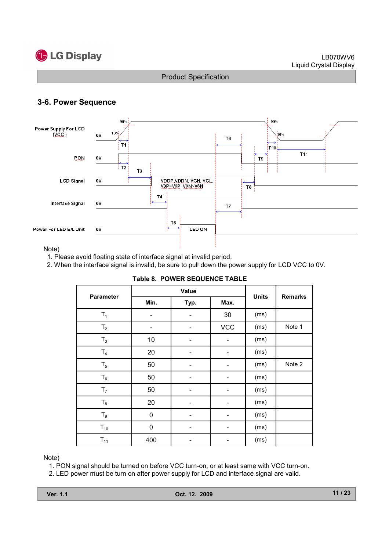

## 3-6. Power Sequence



Note)

- 1. Please avoid floating state of interface signal at invalid period.
- 2. When the interface signal is invalid, be sure to pull down the power supply for LCD VCC to 0V.

## Table 8. POWER SEQUENCE TABLE

|                  |      | Value |            |              |                |  |
|------------------|------|-------|------------|--------------|----------------|--|
| <b>Parameter</b> | Min. | Typ.  | Max.       | <b>Units</b> | <b>Remarks</b> |  |
| $T_1$            |      |       | 30         | (ms)         |                |  |
| $T_{2}$          |      |       | <b>VCC</b> | (ms)         | Note 1         |  |
| $T_3$            | 10   | -     |            | (ms)         |                |  |
| $T_4$            | 20   |       |            | (ms)         |                |  |
| $T_5$            | 50   | -     |            | (ms)         | Note 2         |  |
| $T_6$            | 50   |       |            | (ms)         |                |  |
| T <sub>7</sub>   | 50   |       |            | (ms)         |                |  |
| $T_8$            | 20   |       |            | (ms)         |                |  |
| $T_9$            | 0    |       |            | (ms)         |                |  |
| $T_{10}$         | 0    | -     |            | (ms)         |                |  |
| $T_{11}$         | 400  |       |            | (ms)         |                |  |

Note)

1. PON signal should be turned on before VCC turn-on, or at least same with VCC turn-on.

2. LED power must be turn on after power supply for LCD and interface signal are valid.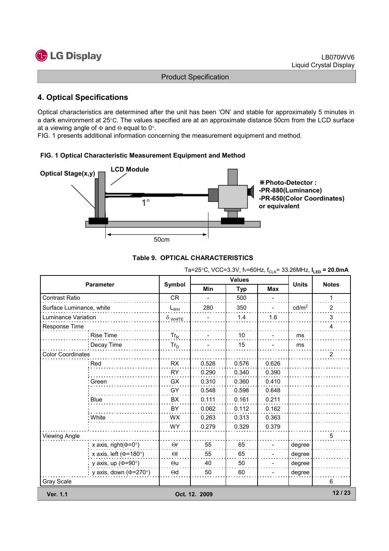

## 4. Optical Specifications

Optical characteristics are determined after the unit has been 'ON' and stable for approximately 5 minutes in a dark environment at 25°C. The values specified are at an approximate distance 50cm from the LCD surface at a viewing angle of  $\Phi$  and  $\Theta$  equal to 0°.

FIG. 1 presents additional information concerning the measurement equipment and method.

#### FIG. 1 Optical Characteristic Measurement Equipment and Method





|                            |                                     |                |               |               |            |                   | Ta=25°C, VCC=3.3V, fv=60Hz, f <sub>CLK</sub> = 33.26MHz, $I_{LED}$ = 20.0mA |
|----------------------------|-------------------------------------|----------------|---------------|---------------|------------|-------------------|-----------------------------------------------------------------------------|
|                            |                                     |                |               | <b>Values</b> |            | <b>Units</b>      | <b>Notes</b>                                                                |
| <b>Parameter</b>           |                                     | Symbol         | Min           | <b>Typ</b>    | <b>Max</b> |                   |                                                                             |
| <b>Contrast Ratio</b>      |                                     | <b>CR</b>      |               | 500           |            |                   | $\mathbf{1}$                                                                |
| Surface Luminance, white   |                                     | $L_{WH}$       | 280           | 350           |            | cd/m <sup>2</sup> | $\overline{2}$                                                              |
| <b>Luminance Variation</b> |                                     | $\delta$ white |               | 1.4           | 1.6        |                   | 3                                                                           |
| Response Time              |                                     |                |               |               |            |                   | 4                                                                           |
| Rise Time                  |                                     | $Tr_R$         |               | 10            |            | ms                |                                                                             |
|                            | : Decay Time                        | $Tr_D$         |               | 15            |            | ms                |                                                                             |
| <b>Color Coordinates</b>   |                                     |                |               |               |            |                   | $\overline{c}$                                                              |
| Red                        |                                     | <b>RX</b>      | 0.526         | 0.576         | 0.626      |                   |                                                                             |
|                            |                                     | <b>RY</b>      | 0.290         | 0.340         | 0.390      |                   |                                                                             |
| Green                      |                                     | <b>GX</b>      | 0.310         | 0.360         | 0.410      |                   |                                                                             |
|                            |                                     | GY             | 0.548         | 0.598         | 0.648      |                   |                                                                             |
| : Blue                     |                                     | BX             | 0.111         | 0.161         | 0.211      |                   |                                                                             |
|                            |                                     | BY             | 0.062         | 0.112         | 0.162      |                   |                                                                             |
| White                      |                                     | WX             | 0.263         | 0.313         | 0.363      |                   |                                                                             |
|                            |                                     | <b>WY</b>      | 0.279         | 0.329         | 0.379      |                   |                                                                             |
| <b>Viewing Angle</b>       |                                     |                |               |               |            |                   | 5                                                                           |
|                            | x axis, right( $(\Phi = 0^{\circ})$ | $\Theta$ r     | 55            | 65            |            | degree            |                                                                             |
|                            | x axis, left ( $\Phi$ =180°)        | $\Theta$       | 55            | 65            |            | degree            |                                                                             |
|                            | y axis, up ( $\Phi$ =90°)           | $\Theta$ u     | 40            | 50            |            | degree            |                                                                             |
|                            | y axis, down ( $\Phi$ =270°)        | $\Theta$ d     | 50            | 60            |            | degree            |                                                                             |
| Gray Scale                 |                                     |                |               |               |            |                   | 6                                                                           |
| Ver. 1.1                   |                                     |                | Oct. 12. 2009 |               |            |                   | 12/23                                                                       |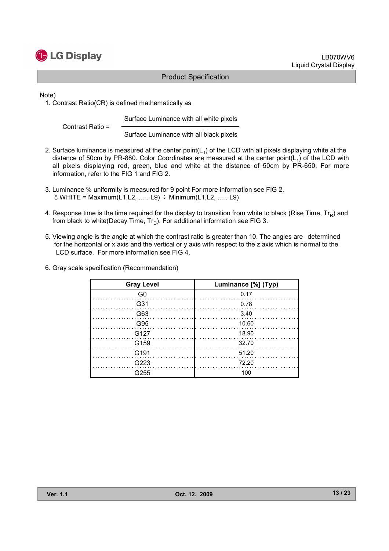

Note)

1. Contrast Ratio(CR) is defined mathematically as

Surface Luminance with all white pixels

Contrast Ratio =

Surface Luminance with all black pixels

- 2. Surface luminance is measured at the center point( $L_1$ ) of the LCD with all pixels displaying white at the distance of 50cm by PR-880. Color Coordinates are measured at the center point( $L_1$ ) of the LCD with all pixels displaying red, green, blue and white at the distance of 50cm by PR-650. For more information, refer to the FIG 1 and FIG 2.
- 3. Luminance % uniformity is measured for 9 point For more information see FIG 2.  $\delta$  WHITE = Maximum(L1,L2, ….. L9)  $\div$  Minimum(L1,L2, ….. L9)
- 4. Response time is the time required for the display to transition from white to black (Rise Time,  $Tr_R$ ) and from black to white(Decay Time,  $Tr_D$ ). For additional information see FIG 3.
- 5. Viewing angle is the angle at which the contrast ratio is greater than 10. The angles are determined for the horizontal or x axis and the vertical or y axis with respect to the z axis which is normal to the LCD surface. For more information see FIG 4.
- 6. Gray scale specification (Recommendation)

| <b>Gray Level</b> | Luminance [%] (Typ) |
|-------------------|---------------------|
| G0                | 0.17                |
| G31               | 0.78                |
| G63               | 3.40                |
| G95               | 10.60               |
| G <sub>127</sub>  | 18.90               |
| G159              | 32.70               |
| G191              | 51.20               |
| G223              | 72.20               |
| G255              | 100                 |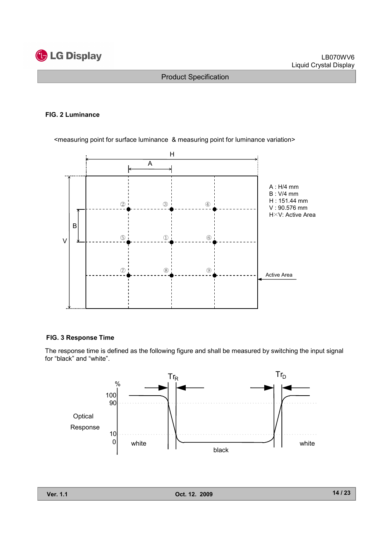

#### FIG. 2 Luminance

<measuring point for surface luminance & measuring point for luminance variation>



#### FIG. 3 Response Time

The response time is defined as the following figure and shall be measured by switching the input signal for "black" and "white".

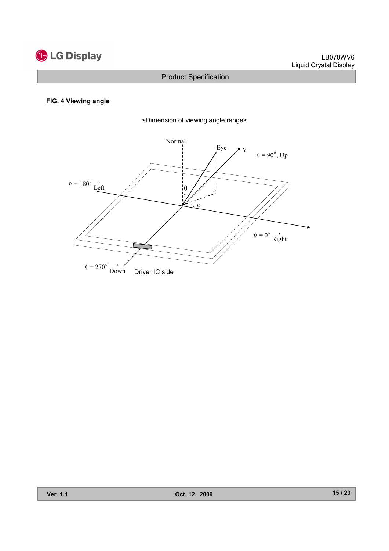

#### FIG. 4 Viewing angle



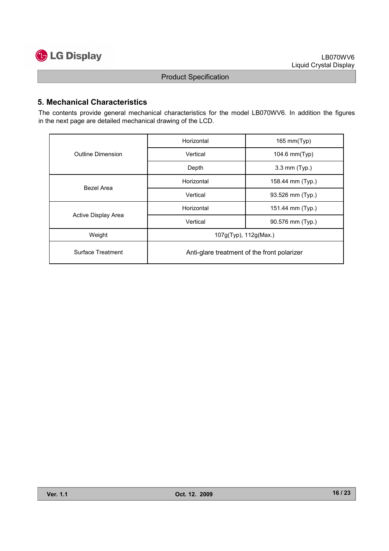

## 5. Mechanical Characteristics

The contents provide general mechanical characteristics for the model LB070WV6. In addition the figures in the next page are detailed mechanical drawing of the LCD.

|                     | Horizontal                                  | 165 mm $(Typ)$    |  |  |  |  |
|---------------------|---------------------------------------------|-------------------|--|--|--|--|
| Outline Dimension   | Vertical                                    | 104.6 mm(Typ)     |  |  |  |  |
|                     | Depth                                       | $3.3$ mm $(Typ.)$ |  |  |  |  |
| Bezel Area          | Horizontal                                  | 158.44 mm (Typ.)  |  |  |  |  |
|                     | Vertical                                    | 93.526 mm (Typ.)  |  |  |  |  |
|                     | Horizontal                                  | 151.44 mm (Typ.)  |  |  |  |  |
| Active Display Area | Vertical                                    | 90.576 mm (Typ.)  |  |  |  |  |
| Weight              | 107g(Typ), 112g(Max.)                       |                   |  |  |  |  |
| Surface Treatment   | Anti-glare treatment of the front polarizer |                   |  |  |  |  |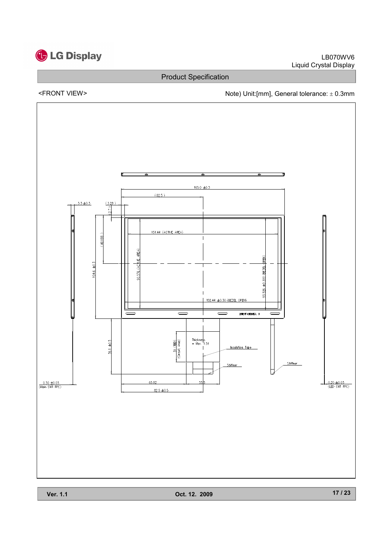## **G** LG Display

Product Specification

## <FRONT VIEW><br>Note) Unit:[mm], General tolerance: ± 0.3mm

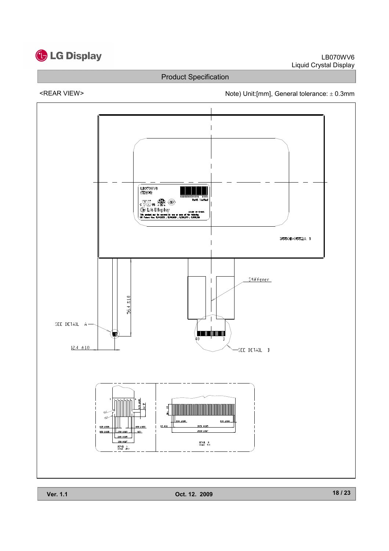

#### LB070WV6 Liquid Crystal Display

## Product Specification

<REAR VIEW> Note) Unit:[mm], General tolerance: ± 0.3mm



Ver. 1.1 Oct. 12. 2009

18 / 23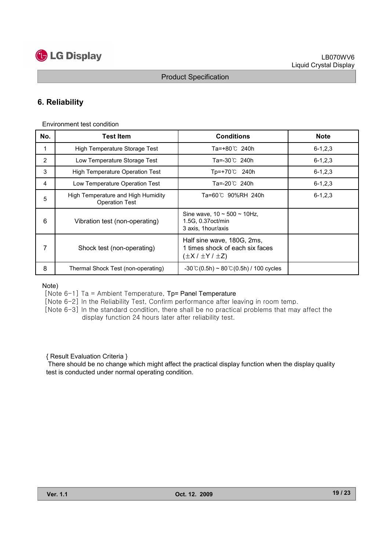# **C** LG Display

## 6. Reliability

Environment test condition

| No. | <b>Test Item</b>                                            | <b>Conditions</b>                                                                          | <b>Note</b>   |
|-----|-------------------------------------------------------------|--------------------------------------------------------------------------------------------|---------------|
|     | High Temperature Storage Test                               | Ta=+80℃ 240h                                                                               | $6 - 1, 2, 3$ |
| 2   | Low Temperature Storage Test                                | Ta=-30℃ 240h                                                                               | $6 - 1, 2, 3$ |
| 3   | <b>High Temperature Operation Test</b>                      | Tp=+70℃ 240h                                                                               | $6 - 1, 2, 3$ |
| 4   | Low Temperature Operation Test                              | Ta=-20℃ 240h                                                                               | $6 - 1, 2, 3$ |
| 5   | High Temperature and High Humidity<br><b>Operation Test</b> | Ta=60℃ 90%RH 240h                                                                          | $6 - 1, 2, 3$ |
| 6   | Vibration test (non-operating)                              | Sine wave, $10 \sim 500 \sim 10$ Hz,<br>1.5G, 0.37 oct/min<br>3 axis, 1 hour/axis          |               |
| 7   | Shock test (non-operating)                                  | Half sine wave, 180G, 2ms,<br>1 times shock of each six faces<br>$(\pm X / \pm Y / \pm Z)$ |               |
| 8   | Thermal Shock Test (non-operating)                          | $-30^{\circ}$ C(0.5h) ~ 80 $\circ$ C(0.5h) / 100 cycles                                    |               |

Note)

[Note  $6-1$ ] Ta = Ambient Temperature, Tp= Panel Temperature

[Note 6-2] In the Reliability Test, Confirm performance after leaving in room temp.

[Note 6-3] In the standard condition, there shall be no practical problems that may affect the display function 24 hours later after reliability test.

{ Result Evaluation Criteria }

There should be no change which might affect the practical display function when the display quality test is conducted under normal operating condition.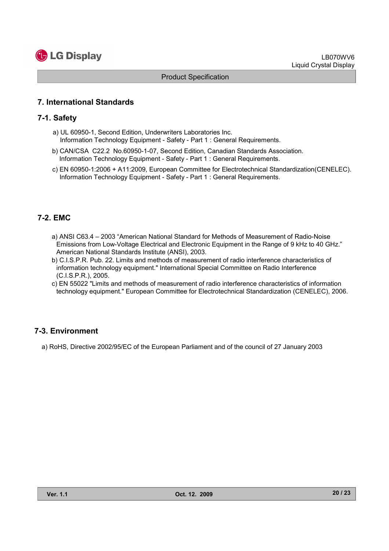

#### 7. International Standards

#### 7-1. Safety

- a) UL 60950-1, Second Edition, Underwriters Laboratories Inc. Information Technology Equipment - Safety - Part 1 : General Requirements.
- b) CAN/CSA C22.2 No.60950-1-07, Second Edition, Canadian Standards Association. Information Technology Equipment - Safety - Part 1 : General Requirements.
- c) EN 60950-1:2006 + A11:2009, European Committee for Electrotechnical Standardization(CENELEC). Information Technology Equipment - Safety - Part 1 : General Requirements.

### 7-2. EMC

- a) ANSI C63.4 2003 "American National Standard for Methods of Measurement of Radio-Noise Emissions from Low-Voltage Electrical and Electronic Equipment in the Range of 9 kHz to 40 GHz." American National Standards Institute (ANSI), 2003.
- b) C.I.S.P.R. Pub. 22. Limits and methods of measurement of radio interference characteristics of information technology equipment." International Special Committee on Radio Interference (C.I.S.P.R.), 2005.
- c) EN 55022 "Limits and methods of measurement of radio interference characteristics of information technology equipment." European Committee for Electrotechnical Standardization (CENELEC), 2006.

#### 7-3. Environment

a) RoHS, Directive 2002/95/EC of the European Parliament and of the council of 27 January 2003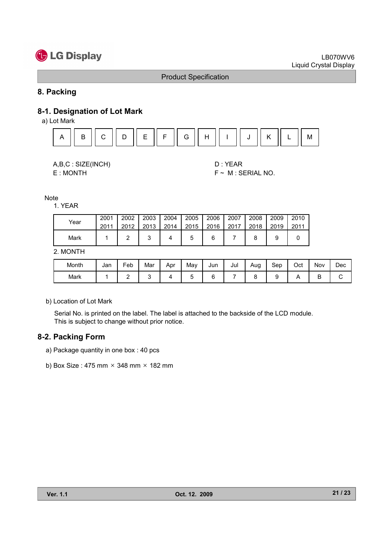## **C** LG Display

Product Specification

## 8. Packing

## 8-1. Designation of Lot Mark

a) Lot Mark



| A,B,C: SIZE(INCH) |
|-------------------|
| <b>F</b> MONTH    |

D : YEAR  $F \sim M$  : SERIAL NO.

**Note** 

1. YEAR

| Year | 2001 | 2002 | 2003 | 2004 | 2005   | 2006 | 2007 | 2008 | 2009 | 2010 |
|------|------|------|------|------|--------|------|------|------|------|------|
|      | 2011 | 2012 | 2013 | 2014 | 2015   | 2016 | 2017 | 2018 | 2019 | 2011 |
| Mark |      |      |      |      | ∽<br>J |      |      |      |      |      |

2. MONTH

| Month | Jan | Feb | Mar | Apr | Mav | Jun | Jul | Aug<br>u | Sep | Oct | <b>Nov</b> | Dec |
|-------|-----|-----|-----|-----|-----|-----|-----|----------|-----|-----|------------|-----|
| Mark  |     | -   |     |     |     |     |     |          |     |     | −          |     |

b) Location of Lot Mark

Serial No. is printed on the label. The label is attached to the backside of the LCD module. This is subject to change without prior notice.

## 8-2. Packing Form

- a) Package quantity in one box : 40 pcs
- b) Box Size: 475 mm  $\times$  348 mm  $\times$  182 mm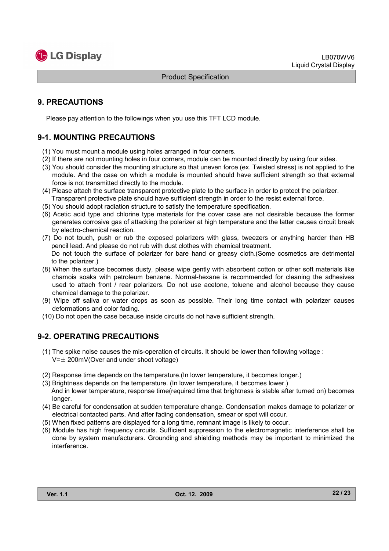

## 9. PRECAUTIONS

Please pay attention to the followings when you use this TFT LCD module.

## 9-1. MOUNTING PRECAUTIONS

- (1) You must mount a module using holes arranged in four corners.
- (2) If there are not mounting holes in four corners, module can be mounted directly by using four sides.
- (3) You should consider the mounting structure so that uneven force (ex. Twisted stress) is not applied to the module. And the case on which a module is mounted should have sufficient strength so that external force is not transmitted directly to the module.
- (4) Please attach the surface transparent protective plate to the surface in order to protect the polarizer. Transparent protective plate should have sufficient strength in order to the resist external force.
- (5) You should adopt radiation structure to satisfy the temperature specification.
- (6) Acetic acid type and chlorine type materials for the cover case are not desirable because the former generates corrosive gas of attacking the polarizer at high temperature and the latter causes circuit break by electro-chemical reaction.
- (7) Do not touch, push or rub the exposed polarizers with glass, tweezers or anything harder than HB pencil lead. And please do not rub with dust clothes with chemical treatment. Do not touch the surface of polarizer for bare hand or greasy cloth.(Some cosmetics are detrimental to the polarizer.)
- (8) When the surface becomes dusty, please wipe gently with absorbent cotton or other soft materials like chamois soaks with petroleum benzene. Normal-hexane is recommended for cleaning the adhesives used to attach front / rear polarizers. Do not use acetone, toluene and alcohol because they cause chemical damage to the polarizer.
- (9) Wipe off saliva or water drops as soon as possible. Their long time contact with polarizer causes deformations and color fading.
- (10) Do not open the case because inside circuits do not have sufficient strength.

## 9-2. OPERATING PRECAUTIONS

- (1) The spike noise causes the mis-operation of circuits. It should be lower than following voltage :  $V=\pm 200$ mV(Over and under shoot voltage)
- (2) Response time depends on the temperature.(In lower temperature, it becomes longer.)
- (3) Brightness depends on the temperature. (In lower temperature, it becomes lower.) And in lower temperature, response time(required time that brightness is stable after turned on) becomes longer.
- (4) Be careful for condensation at sudden temperature change. Condensation makes damage to polarizer or electrical contacted parts. And after fading condensation, smear or spot will occur.
- (5) When fixed patterns are displayed for a long time, remnant image is likely to occur.
- (6) Module has high frequency circuits. Sufficient suppression to the electromagnetic interference shall be done by system manufacturers. Grounding and shielding methods may be important to minimized the interference.